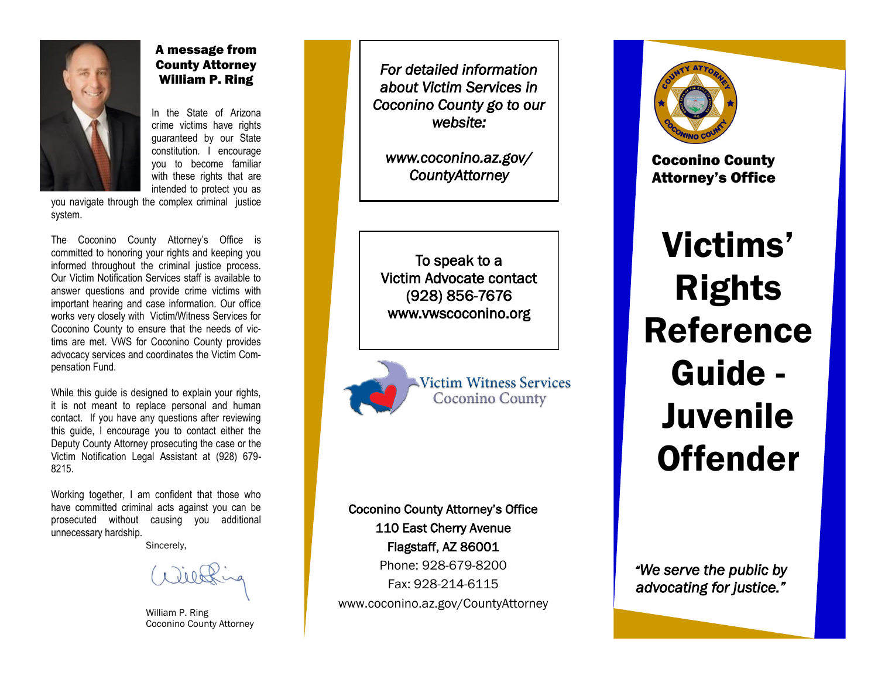

# A message from County Attorney William P. Ring

In the State of Arizona crime victims have rights guaranteed by our State constitution. I encourage you to become familiar with these rights that are intended to protect you as

you navigate through the complex criminal justice system.

The Coconino County Attorney's Office is committed to honoring your rights and keeping you informed throughout the criminal justice process. Our Victim Notification Services staff is available to answer questions and provide crime victims with important hearing and case information. Our office works very closely with Victim/Witness Services for Coconino County to ensure that the needs of victims are met. VWS for Coconino County provides advocacy services and coordinates the Victim Compensation Fund.

While this guide is designed to explain your rights, it is not meant to replace personal and human contact. If you have any questions after reviewing this guide, I encourage you to contact either the Deputy County Attorney prosecuting the case or the Victim Notification Legal Assistant at (928) 679- 8215.

Working together, I am confident that those who have committed criminal acts against you can be prosecuted without causing you additional unnecessary hardship.

Sincerely,

William P. Ring Coconino County Attorney

*For detailed information about Victim Services in Coconino County go to our website:* 

*www.coconino.az.gov/ CountyAttorney* 

To speak to a Victim Advocate contact (928) 856-7676 www.vwscoconino.org

> **Victim Witness Services Coconino County**

Coconino County Attorney's Office 110 East Cherry Avenue Flagstaff, AZ 86001 Phone: 928-679-8200 Fax: 928-214-6115 www.coconino.az.gov/CountyAttorney



Coconino County Attorney's Office

Victims' Rights Reference Guide - **Juvenile Offender** 

*"We serve the public by advocating for justice."*